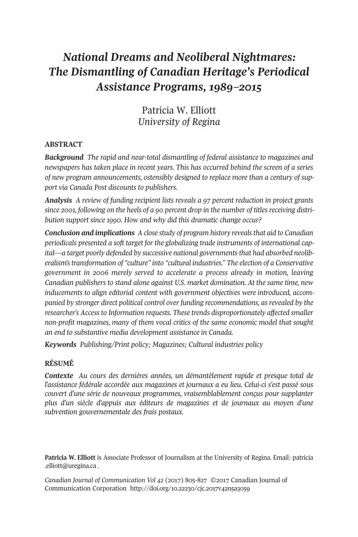# *National Dreams and Neoliberal Nightmares: The Dismantling of Canadian Heritage's Periodical Assistance Programs, 1989–2015*

Patricia W. Elliott *University of Regina*

# **ABSTRACT**

*Background The rapid and near-total dismantling of federal assistance to magazines and newspapers has taken place in recent years. This has occurred behind the screen of a series of new program announcements, ostensibly designed to replace more than a century of support via Canada Post discounts to publishers.*

*Analysis A review of funding recipient lists reveals a 97 percent reduction in project grants since 2001, following on the heels of a 90 percent drop in the number of titles receiving distribution support since 1990. How and why did this dramatic change occur?*

*Conclusion and implications A close study of program history revealsthat aid to Canadian periodicals presented a soft target for the globalizing trade instruments of international capital—a target poorly defended by successive national governmentsthat had absorbed neoliberalism'stransformation of "culture" into "cultural industries." The election of a Conservative government in 2006 merely served to accelerate a process already in motion, leaving Canadian publishers to stand alone against U.S. market domination. At the same time, new inducements to align editorial content with government objectives were introduced, accompanied by stronger direct political control over funding recommendations, as revealed by the researcher's Accessto Information requests. These trends disproportionately affected smaller non-profit magazines, many of them vocal critics of the same economic model that sought an end to substantive media development assistance in Canada.*

*Keywords Publishing/Print policy; Magazines; Cultural industries policy*

# **RÉSUMÉ**

*Contexte Au cours des dernières années, un démantèlement rapide et presque total de l'assistance fédérale accordée aux magazines et journaux a eu lieu. Celui-ci s'est passé sous couvert d'une série de nouveaux programmes, vraisemblablement conçus pour supplanter plus d'un siècle d'appuis aux éditeurs de magazines et de journaux au moyen d'une subvention gouvernementale des frais postaux.*

**Patricia W. Elliott** is Associate Professor of Journalism at the University of Regina. Email: [patricia](mailto:patricia.elliott@uregina.ca) [.elliott@uregina.ca](mailto:patricia.elliott@uregina.ca) .

*Canadian Journal of [Communication](http://www.cjc-online.ca) Vol 42* (2017) 805-827 ©2017 Canadian Journal of Communication Corporation <http://doi.org/10.22230/cjc.2017v42n5a3059>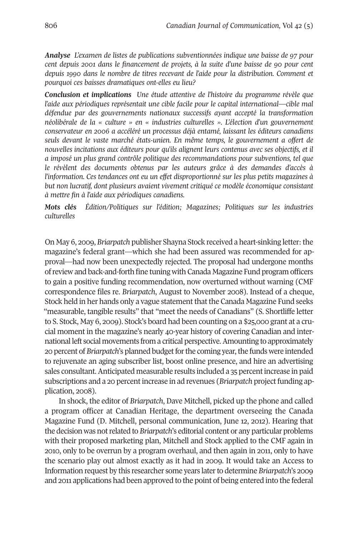*Analyse L'examen de listes de publications subventionnées indique une baisse de 97 pour cent depuis 2001 dans le financement de projets, à la suite d'une baisse de 90 pour cent depuis 1990 dans le nombre de titres recevant de l'aide pour la distribution. Comment et pourquoi ces baisses dramatiques ont-elles eu lieu?*

*Conclusion et implications Une étude attentive de l'histoire du programme révèle que l'aide aux périodiques représentait une cible facile pour le capital international—cible mal défendue par des gouvernements nationaux successifs ayant accepté la transformation néolibérale de la « culture » en « industries culturelles ». L'élection d'un gouvernement conservateur en 2006 a accéléré un processus déjà entamé, laissant les éditeurs canadiens seuls devant le vaste marché états-unien. En même temps, le gouvernement a offert de nouvelles incitations aux éditeurs pour qu'ils alignent leurs contenus avec ses objectifs, et il a imposé un plus grand contrôle politique des recommandations pour subventions, tel que le révèlent des documents obtenus par les auteurs grâce à des demandes d'accès à l'information. Ces tendances ont eu un effet disproportionné sur les plus petits magazines à but non lucratif, dont plusieurs avaient vivement critiqué ce modèle économique consistant à mettre fin à l'aide aux périodiques canadiens.*

*Mots clés Édition/Politiques sur l'édition; Magazines; Politiques sur les industries culturelles*

On May 6, 2009, *Briarpatch* publisher Shayna Stock received a heart-sinking letter: the magazine's federal grant—which she had been assured was recommended for approval—had now been unexpectedly rejected. The proposal had undergone months ofreview and back-and-forth fine tuning with Canada Magazine Fund program officers to gain a positive funding recommendation, now overturned without warning (CMF correspondence files re. *Briarpatch*, August to November 2008). Instead of a cheque, Stock held in her hands only a vague statement that the Canada Magazine Fund seeks "measurable, tangible results" that "meet the needs of Canadians" (S. Shortliffe letter to S. Stock, May 6, 2009). Stock's board had been counting on a \$25,000 grant at a crucial moment in the magazine's nearly 40-year history of covering Canadian and international left social movements from a critical perspective.Amounting to approximately 20 percent of *Briarpatch*'s planned budget for the coming year, the funds were intended to rejuvenate an aging subscriber list, boost online presence, and hire an advertising sales consultant.Anticipated measurable results included a 35 percentincrease in paid subscriptions and a 20 percent increase in ad revenues *(Briarpatch project funding ap*plication, 2008).

In shock, the editor of *Briarpatch*, Dave Mitchell, picked up the phone and called a program officer at Canadian Heritage, the department overseeing the Canada Magazine Fund (D. Mitchell, personal communication, June 12, 2012). Hearing that the decision was notrelated to *Briarpatch*'s editorial content or any particular problems with their proposed marketing plan, Mitchell and Stock applied to the CMF again in 2010, only to be overrun by a program overhaul, and then again in 2011, only to have the scenario play out almost exactly as it had in 2009. It would take an Access to Information request by this researcher some years laterto determine *Briarpatch*'s 2009 and 2011 applications had been approved to the point of being entered into the federal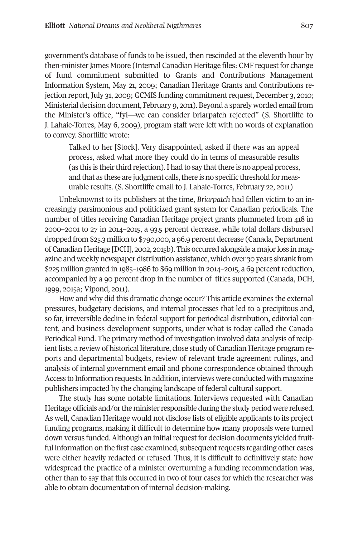government's database of funds to be issued, then rescinded at the eleventh hour by then-minister James Moore (Internal Canadian Heritage files: CMF request for change of fund commitment submitted to Grants and Contributions Management Information System, May 21, 2009; Canadian Heritage Grants and Contributions rejection report, July 31, 2009; GCMIS funding commitment request, December 3, 2010; Ministerial decision document, February 9, 2011). Beyond a sparely worded email from the Minister's office, "fyi—we can consider briarpatch rejected" (S. Shortliffe to J. Lahaie-Torres, May 6, 2009), program staff were left with no words of explanation to convey. Shortliffe wrote:

Talked to her [Stock]. Very disappointed, asked if there was an appeal process, asked what more they could do in terms of measurable results (as this is their third rejection). I had to say that there is no appeal process, and that as these are judgment calls, there is no specific threshold for measurable results. (S. Shortliffe email to J. Lahaie-Torres, February 22, 2011)

Unbeknownst to its publishers at the time, *Briarpatch* had fallen victim to an increasingly parsimonious and politicized grant system for Canadian periodicals. The number of titles receiving Canadian Heritage project grants plummeted from 418 in 2000–2001 to 27 in 2014–2015, a 93.5 percent decrease, while total dollars disbursed dropped from \$25.3 million to \$790,000, a 96.9 percent decrease (Canada, Department of Canadian Heritage [DCH], 2002, 2015b). This occurred alongside a majorloss in magazine and weekly newspaper distribution assistance, which over 30 years shrank from  $$225$  million granted in  $1985-1986$  to  $$69$  million in  $2014-2015$ , a  $69$  percent reduction, accompanied by a 90 percent drop in the number of titles supported (Canada, DCH, 1999, 2015a; Vipond, 2011).

How and why did this dramatic change occur? This article examines the external pressures, budgetary decisions, and internal processes that led to a precipitous and, so far, irreversible decline in federal support for periodical distribution, editorial content, and business development supports, under what is today called the Canada Periodical Fund. The primary method of investigation involved data analysis of recipientlists, a review of historical literature, close study of Canadian Heritage program reports and departmental budgets, review of relevant trade agreement rulings, and analysis of internal government email and phone correspondence obtained through Access to Information requests.In addition, interviews were conducted with magazine publishers impacted by the changing landscape of federal cultural support.

The study has some notable limitations. Interviews requested with Canadian Heritage officials and/or the minister responsible during the study period were refused. As well, Canadian Heritage would not disclose lists of eligible applicants to its project funding programs, making it difficult to determine how many proposals were turned down versus funded. Although an initial request for decision documents yielded fruitful information on the first case examined, subsequent requests regarding other cases were either heavily redacted or refused. Thus, it is difficult to definitively state how widespread the practice of a minister overturning a funding recommendation was, other than to say that this occurred in two of four cases for which the researcher was able to obtain documentation of internal decision-making.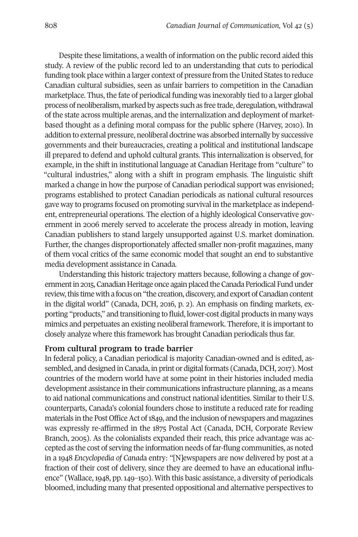Despite these limitations, a wealth of information on the public record aided this study. A review of the public record led to an understanding that cuts to periodical funding took place within a larger context of pressure from the United States to reduce Canadian cultural subsidies, seen as unfair barriers to competition in the Canadian marketplace. Thus, the fate of periodical funding was inexorably tied to a larger global process of neoliberalism, marked by aspects such as free trade, deregulation, withdrawal of the state across multiple arenas, and the internalization and deployment of marketbased thought as a defining moral compass for the public sphere (Harvey, 2010). In addition to external pressure, neoliberal doctrine was absorbed internally by successive governments and their bureaucracies, creating a political and institutional landscape ill prepared to defend and uphold cultural grants. This internalization is observed, for example, in the shift in institutional language at Canadian Heritage from "culture" to "cultural industries," along with a shift in program emphasis. The linguistic shift marked a change in how the purpose of Canadian periodical support was envisioned; programs established to protect Canadian periodicals as national cultural resources gave way to programs focused on promoting survival in the marketplace as independent, entrepreneurial operations. The election of a highly ideological Conservative government in 2006 merely served to accelerate the process already in motion, leaving Canadian publishers to stand largely unsupported against U.S. market domination. Further, the changes disproportionately affected smaller non-profit magazines, many of them vocal critics of the same economic model that sought an end to substantive media development assistance in Canada.

Understanding this historic trajectory matters because, following a change of government in 2015, Canadian Heritage once again placed the Canada Periodical Fund under review, this time with a focus on "the creation, discovery, and export of Canadian content in the digital world" (Canada, DCH, 2016, p. 2). An emphasis on finding markets, exporting "products," and transitioning to fluid, lower-cost digital products in many ways mimics and perpetuates an existing neoliberal framework. Therefore, it is important to closely analyze where this framework has brought Canadian periodicals thus far.

#### **From cultural program to trade barrier**

In federal policy, a Canadian periodical is majority Canadian-owned and is edited, assembled, and designed in Canada, in print or digital formats (Canada, DCH, 2017). Most countries of the modern world have at some point in their histories included media development assistance in their communications infrastructure planning, as a means to aid national communications and construct national identities. Similar to their U.S. counterparts, Canada's colonial founders chose to institute a reduced rate for reading materials in the Post Office Act of 1849, and the inclusion of newspapers and magazines was expressly re-affirmed in the 1875 Postal Act (Canada, DCH, Corporate Review Branch, 2005). As the colonialists expanded their reach, this price advantage was accepted as the cost of serving the information needs of far-flung communities, as noted in a 1948 *Encyclopedia of Canad*a entry: "[N]ewspapers are now delivered by post at a fraction of their cost of delivery, since they are deemed to have an educational influence" (Wallace,1948, pp.149–150). With this basic assistance, a diversity of periodicals bloomed, including many that presented oppositional and alternative perspectives to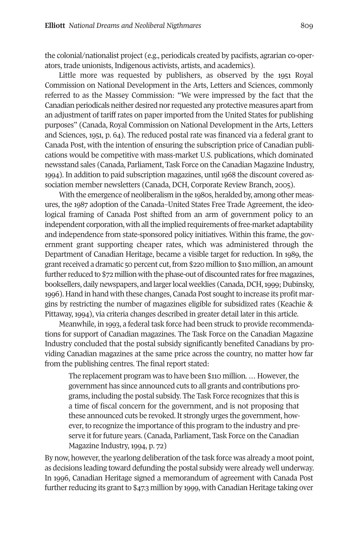the colonial/nationalist project (e.g., periodicals created by pacifists, agrarian co-operators, trade unionists, Indigenous activists, artists, and academics).

Little more was requested by publishers, as observed by the 1951 Royal Commission on National Development in the Arts, Letters and Sciences, commonly referred to as the Massey Commission: "We were impressed by the fact that the Canadian periodicals neither desired norrequested any protective measures apartfrom an adjustment of tariff rates on paper imported from the United States for publishing purposes" (Canada, Royal Commission on National Development in the Arts, Letters and Sciences, 1951, p. 64). The reduced postal rate was financed via a federal grant to Canada Post, with the intention of ensuring the subscription price of Canadian publications would be competitive with mass-market U.S. publications, which dominated newsstand sales (Canada, Parliament, Task Force on the Canadian Magazine Industry, 1994). In addition to paid subscription magazines, until 1968 the discount covered association member newsletters (Canada, DCH, Corporate Review Branch, 2005).

With the emergence of neoliberalism in the 1980s, heralded by, among other measures, the 1987 adoption of the Canada–United States Free Trade Agreement, the ideological framing of Canada Post shifted from an arm of government policy to an independent corporation, with all the implied requirements of free-market adaptability and independence from state-sponsored policy initiatives. Within this frame, the government grant supporting cheaper rates, which was administered through the Department of Canadian Heritage, became a visible target for reduction. In 1989, the grant received a dramatic 50 percent cut, from \$220 million to \$110 million, an amount further reduced to  $\frac{1}{2}$  million with the phase-out of discounted rates for free magazines, booksellers, daily newspapers, and larger local weeklies (Canada, DCH, 1999; Dubinsky, 1996). Hand in hand with these changes, Canada Post sought to increase its profit margins by restricting the number of magazines eligible for subsidized rates (Keachie & Pittaway, 1994), via criteria changes described in greater detail later in this article.

Meanwhile, in 1993, a federal task force had been struck to provide recommendations for support of Canadian magazines. The Task Force on the Canadian Magazine Industry concluded that the postal subsidy significantly benefited Canadians by providing Canadian magazines at the same price across the country, no matter how far from the publishing centres. The final report stated:

The replacement program was to have been \$110 million. ... However, the government has since announced cuts to all grants and contributions programs, including the postal subsidy. The Task Force recognizes that this is a time of fiscal concern for the government, and is not proposing that these announced cuts be revoked. It strongly urges the government, however, to recognize the importance of this program to the industry and preserve it for future years. (Canada, Parliament, Task Force on the Canadian Magazine Industry, 1994, p. 72)

By now, however, the yearlong deliberation of the task force was already a moot point, as decisions leading toward defunding the postal subsidy were already well underway. In 1996, Canadian Heritage signed a memorandum of agreement with Canada Post further reducing its grant to \$47.3 million by 1999, with Canadian Heritage taking over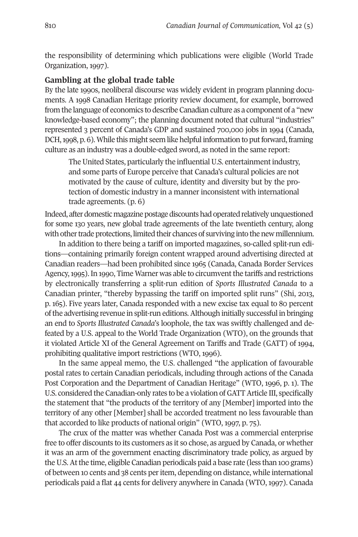the responsibility of determining which publications were eligible (World Trade Organization, 1997).

# **Gambling at the global trade table**

By the late 1990s, neoliberal discourse was widely evident in program planning documents. A 1998 Canadian Heritage priority review document, for example, borrowed from the language of economics to describe Canadian culture as a component of a "new knowledge-based economy"; the planning document noted that cultural "industries" represented 3 percent of Canada's GDP and sustained 700,000 jobs in 1994 (Canada, DCH, 1998, p. 6). While this might seem like helpful information to put forward, framing culture as an industry was a double-edged sword, as noted in the same report:

The United States, particularly the influential U.S. entertainment industry, and some parts of Europe perceive that Canada's cultural policies are not motivated by the cause of culture, identity and diversity but by the protection of domestic industry in a manner inconsistent with international trade agreements. (p. 6)

Indeed, after domestic magazine postage discounts had operated relatively unquestioned for some 130 years, new global trade agreements of the late twentieth century, along with other trade protections, limited their chances of surviving into the new millennium.

In addition to there being a tariff on imported magazines, so-called split-run editions—containing primarily foreign content wrapped around advertising directed at Canadian readers—had been prohibited since 1965 (Canada, Canada Border Services Agency, 1995). In 1990, Time Warner was able to circumvent the tariffs and restrictions by electronically transferring a split-run edition of *Sports Illustrated Canada* to a Canadian printer, "thereby bypassing the tariff on imported split runs" (Shi, 2013, p. 165). Five years later, Canada responded with a new excise tax equal to 80 percent ofthe advertising revenue in split-run editions.Although initially successful in bringing an end to *Sports Illustrated Canada*'s loophole, the tax was swiftly challenged and defeated by a U.S. appeal to the World Trade Organization (WTO), on the grounds that it violated Article XI of the General Agreement on Tariffs and Trade (GATT) of 1994, prohibiting qualitative import restrictions (WTO, 1996).

In the same appeal memo, the U.S. challenged "the application of favourable postal rates to certain Canadian periodicals, including through actions of the Canada Post Corporation and the Department of Canadian Heritage" (WTO, 1996, p. 1). The U.S. considered the Canadian-only rates to be a violation of GATT Article III, specifically the statement that "the products of the territory of any [Member] imported into the territory of any other [Member] shall be accorded treatment no less favourable than that accorded to like products of national origin" (WTO, 1997, p. 75).

The crux of the matter was whether Canada Post was a commercial enterprise free to offer discounts to its customers as it so chose, as argued by Canada, or whether it was an arm of the government enacting discriminatory trade policy, as argued by theU.S.Atthe time, eligible Canadian periodicals paid a base rate (less than 100 grams) of between 10 cents and 38 cents peritem, depending on distance, while international periodicals paid a flat 44 cents for delivery anywhere in Canada (WTO, 1997). Canada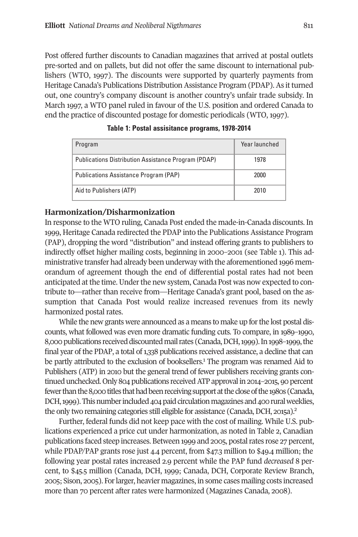Post offered further discounts to Canadian magazines that arrived at postal outlets pre-sorted and on pallets, but did not offer the same discount to international publishers (WTO, 1997). The discounts were supported by quarterly payments from Heritage Canada's Publications Distribution Assistance Program (PDAP). As it turned out, one country's company discount is another country's unfair trade subsidy. In March 1997, a WTO panel ruled in favour of the U.S. position and ordered Canada to end the practice of discounted postage for domestic periodicals (WTO, 1997).

| Program                                             | Year launched |
|-----------------------------------------------------|---------------|
| Publications Distribution Assistance Program (PDAP) | 1978          |
| Publications Assistance Program (PAP)               | 2000          |
| Aid to Publishers (ATP)                             | 2010          |

**Table 1: Postal assisitance programs, 1978-2014**

# **Harmonization/Disharmonization**

In response to the WTO ruling, Canada Post ended the made-in-Canada discounts. In 1999, Heritage Canada redirected the PDAP into the Publications Assistance Program (PAP), dropping the word "distribution" and instead offering grants to publishers to indirectly offset higher mailing costs, beginning in 2000–2001 (see Table 1). This administrative transfer had already been underway with the aforementioned 1996 memorandum of agreement though the end of differential postal rates had not been anticipated at the time. Under the new system, Canada Post was now expected to contribute to—rather than receive from—Heritage Canada's grant pool, based on the assumption that Canada Post would realize increased revenues from its newly harmonized postal rates.

While the new grants were announced as a means to make up for the lost postal discounts, what followed was even more dramatic funding cuts. To compare, in 1989–1990, 8,000 publications received discounted mail rates (Canada, DCH, 1999). In 1998–1999, the final year of the PDAP, a total of 1,338 publications received assistance, a decline that can be partly attributed to the exclusion of booksellers. <sup>1</sup> The program was renamed Aid to Publishers (ATP) in 2010 but the general trend of fewer publishers receiving grants continued unchecked. Only 804 publications received ATP approval in 2014–2015, 90 percent fewer than the 8,000 titles that had been receiving support at the close of the 1980s (Canada, DCH, 1999). This number included 404 paid circulation magazines and 400 rural weeklies, the only two remaining categories still eligible for assistance (Canada, DCH, 2015a).<sup>2</sup>

Further, federal funds did not keep pace with the cost of mailing. While U.S. publications experienced a price cut under harmonization, as noted in Table 2, Canadian publications faced steep increases. Between 1999 and 2005, postalrates rose 27 percent, while PDAP/PAP grants rose just 4.4 percent, from \$47.3 million to \$49.4 million; the following year postal rates increased 2.9 percent while the PAP fund *decreased* 8 percent, to \$45.5 million (Canada, DCH, 1999; Canada, DCH, Corporate Review Branch, 2005; Sison, 2005). Forlarger, heavier magazines, in some cases mailing costs increased more than 70 percent after rates were harmonized (Magazines Canada, 2008).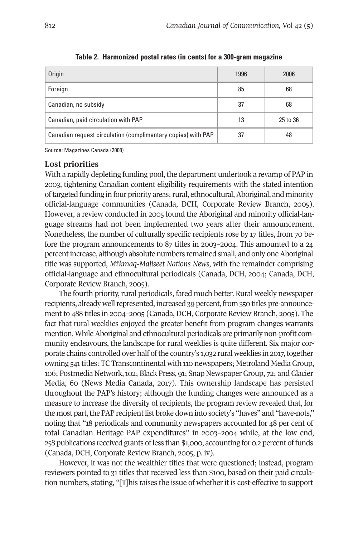| <b>Origin</b>                                                | 1996 | 2006     |
|--------------------------------------------------------------|------|----------|
| Foreign                                                      | 85   | 68       |
| Canadian, no subsidy                                         | 37   | 68       |
| Canadian, paid circulation with PAP                          | 13   | 25 to 36 |
| Canadian request circulation (complimentary copies) with PAP | 37   | 48       |

**Table 2. Harmonized postal rates (in cents) for a 300-gram magazine**

Source: Magazines Canada (2008)

### **Lost priorities**

With a rapidly depleting funding pool, the department undertook a revamp of PAP in 2003, tightening Canadian content eligibility requirements with the stated intention of targeted funding in four priority areas: rural, ethnocultural, Aboriginal, and minority official-language communities (Canada, DCH, Corporate Review Branch, 2005). However, a review conducted in 2005 found the Aboriginal and minority official-language streams had not been implemented two years after their announcement. Nonetheless, the number of culturally specific recipients rose by 17 titles, from 70 before the program announcements to 87 titles in 2003–2004. This amounted to a 24 percent increase, although absolute numbers remained small, and only one Aboriginal title was supported, *Mi'kmaq-Maliseet Nations News*, with the remainder comprising official-language and ethnocultural periodicals (Canada, DCH, 2004; Canada, DCH, Corporate Review Branch, 2005).

The fourth priority, rural periodicals, fared much better. Rural weekly newspaper recipients, already well represented, increased 39 percent, from 350 titles pre-announcement to 488 titles in 2004–2005 (Canada, DCH, Corporate Review Branch, 2005). The fact that rural weeklies enjoyed the greater benefit from program changes warrants mention. While Aboriginal and ethnocultural periodicals are primarily non-profit community endeavours, the landscape for rural weeklies is quite different. Six major corporate chains controlled over half of the country's 1,032 rural weeklies in 2017, together owning 541titles: TC Transcontinental with 110 newspapers; Metroland Media Group, 106; Postmedia Network,102; Black Press, 91; Snap NewspaperGroup, 72; andGlacier Media, 60 (News Media Canada, 2017). This ownership landscape has persisted throughout the PAP's history; although the funding changes were announced as a measure to increase the diversity of recipients, the program review revealed that, for the most part, the PAP recipient list broke down into society's "haves" and "have-nots," noting that "18 periodicals and community newspapers accounted for 48 per cent of total Canadian Heritage PAP expenditures" in 2003–2004 while, at the low end, 258 publications received grants ofless than \$1,000, accounting for 0.2 percent offunds (Canada, DCH, Corporate Review Branch, 2005, p. iv).

However, it was not the wealthier titles that were questioned; instead, program reviewers pointed to 31 titles that received less than \$100, based on their paid circulation numbers, stating, "[T]his raises the issue of whether it is cost-effective to support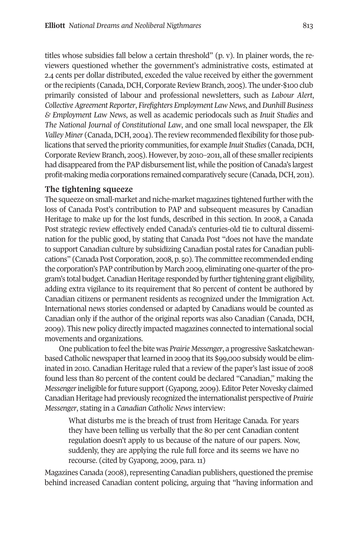titles whose subsidies fall below a certain threshold"  $(p, v)$ . In plainer words, the reviewers questioned whether the government's administrative costs, estimated at 2.4 cents per dollar distributed, exceded the value received by either the government orthe recipients (Canada,DCH, CorporateReview Branch, 2005). The under-\$100 club primarily consisted of labour and professional newsletters, such as *Labour Alert*, *CollectiveAgreement Reporter*, *Firefighters Employment Law News*, and*Dunhill Business & Employment Law News*, as well as academic periodocals such as *Inuit Studies* and *The National Journal of Constitutional Law*, and one small local newspaper, the *Elk Valley Miner* (Canada, DCH, 2004). The review recommended flexibility for those publications that served the priority communities, for example *Inuit Studies* (Canada,DCH, Corporate Review Branch, 2005). However, by 2010–2011, all of these smaller recipients had disappeared from the PAP disbursement list, while the position of Canada's largest profit-making media corporations remained comparatively secure (Canada, DCH, 2011).

#### **The tightening squeeze**

The squeeze on small-market and niche-market magazines tightened further with the loss of Canada Post's contribution to PAP and subsequent measures by Canadian Heritage to make up for the lost funds, described in this section. In 2008, a Canada Post strategic review effectively ended Canada's centuries-old tie to cultural dissemination for the public good, by stating that Canada Post "does not have the mandate to support Canadian culture by subsidizing Canadian postal rates for Canadian publications" (Canada Post Corporation, 2008, p. 50). The committee recommended ending the corporation's PAP contribution by March 2009, eliminating one-quarter ofthe program's total budget. Canadian Heritage responded by further tightening grant eligibility, adding extra vigilance to its requirement that 80 percent of content be authored by Canadian citizens or permanent residents as recognized under the Immigration Act. International news stories condensed or adapted by Canadians would be counted as Canadian only if the author of the original reports was also Canadian (Canada, DCH, 2009). This new policy directly impacted magazines connected to international social movements and organizations.

One publication to feel the bite was *Prairie Messenger*, a progressive Saskatchewanbased Catholic newspaper that learned in 2009 that its \$99,000 subsidy would be eliminated in 2010. Canadian Heritage ruled that a review of the paper's last issue of 2008 found less than 80 percent of the content could be declared "Canadian," making the *Messenger*ineligible forfuture support (Gyapong, 2009). Editor Peter Novesky claimed Canadian Heritage had previously recognized the internationalist perspective of *Prairie Messenger*, stating in a *Canadian Catholic News* interview:

What disturbs me is the breach of trust from Heritage Canada. For years they have been telling us verbally that the 80 per cent Canadian content regulation doesn't apply to us because of the nature of our papers. Now, suddenly, they are applying the rule full force and its seems we have no recourse. (cited by Gyapong, 2009, para. 11)

Magazines Canada (2008), representing Canadian publishers, questioned the premise behind increased Canadian content policing, arguing that "having information and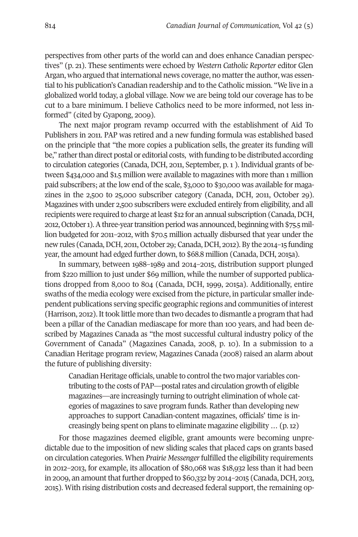perspectives from other parts of the world can and does enhance Canadian perspectives" (p. 21). These sentiments were echoed by *Western Catholic Reporter* editor Glen Argan, who argued that international news coverage, no matter the author, was essential to his publication's Canadian readership and to the Catholic mission. "We live in a globalized world today, a global village. Now we are being told our coverage has to be cut to a bare minimum. I believe Catholics need to be more informed, not less informed" (cited by Gyapong, 2009).

The next major program revamp occurred with the establishment of Aid To Publishers in 2011. PAP was retired and a new funding formula was established based on the principle that "the more copies a publication sells, the greater its funding will be," rather than direct postal or editorial costs, with funding to be distributed according to circulation categories (Canada, DCH, 2011, September, p. 1 ). Individual grants of between \$434,000 and \$1.5 million were available to magazines with more than 1 million paid subscribers; at the low end of the scale, \$3,000 to \$30,000 was available for magazines in the 2,500 to 25,000 subscriber category (Canada, DCH, 2011, October 29). Magazines with under 2,500 subscribers were excluded entirely from eligibility, and all recipients were required to charge at least \$12 for an annual subscription (Canada, DCH, 2012,October1).Athree-yeartransitionperiodwas announced, beginningwith\$75.5million budgeted for 2011–2012, with \$70.5 million actually disbursed that year under the new rules (Canada, DCH, 2011, October 29; Canada, DCH, 2012). By the 2014–15 funding year, the amount had edged further down, to \$68.8 million (Canada, DCH, 2015a).

In summary, between 1988–1989 and 2014–2015, distribution support plunged from \$220 million to just under \$69 million, while the number of supported publications dropped from 8,000 to 804 (Canada, DCH, 1999, 2015a). Additionally, entire swaths of the media ecology were excised from the picture, in particular smallerindependent publications serving specific geographic regions and communities of interest (Harrison, 2012).Ittook little more than two decades to dismantle a program that had been a pillar of the Canadian mediascape for more than 100 years, and had been described by Magazines Canada as "the most successful cultural industry policy of the Government of Canada" (Magazines Canada, 2008, p. 10). In a submission to a Canadian Heritage program review, Magazines Canada (2008) raised an alarm about the future of publishing diversity:

Canadian Heritage officials, unable to control the two major variables contributing to the costs of PAP—postal rates and circulation growth of eligible magazines—are increasingly turning to outright elimination of whole categories of magazines to save program funds. Rather than developing new approaches to support Canadian-content magazines, officials' time is increasingly being spent on plans to eliminate magazine eligibility … (p.12)

For those magazines deemed eligible, grant amounts were becoming unpredictable due to the imposition of new sliding scales that placed caps on grants based on circulation categories. When *Prairie Messenger*fulfilled the eligibility requirements in 2012–2013, for example, its allocation of \$80,068 was \$18,932 less than it had been in 2009, an amount that further dropped to  $$60,332$  by 2014–2015 (Canada, DCH, 2013, 2015). With rising distribution costs and decreased federal support, the remaining op-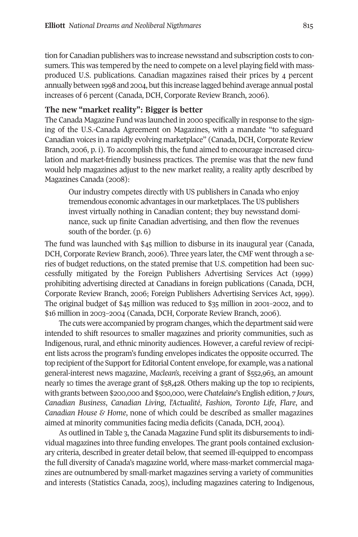tion for Canadian publishers was to increase newsstand and subscription costs to consumers. This was tempered by the need to compete on a level playing field with massproduced U.S. publications. Canadian magazines raised their prices by 4 percent annually between 1998 and 2004, but this increase lagged behind average annual postal increases of 6 percent (Canada, DCH, Corporate Review Branch, 2006).

# **The new "market reality": Bigger is better**

The Canada Magazine Fund was launched in 2000 specifically in response to the signing of the U.S.-Canada Agreement on Magazines, with a mandate "to safeguard Canadian voices in a rapidly evolving marketplace" (Canada, DCH, Corporate Review Branch, 2006, p. i). To accomplish this, the fund aimed to encourage increased circulation and market-friendly business practices. The premise was that the new fund would help magazines adjust to the new market reality, a reality aptly described by Magazines Canada (2008):

Our industry competes directly with US publishers in Canada who enjoy tremendous economic advantages in our marketplaces. The US publishers invest virtually nothing in Canadian content; they buy newsstand dominance, suck up finite Canadian advertising, and then flow the revenues south of the border. (p. 6)

The fund was launched with \$45 million to disburse in its inaugural year (Canada, DCH, Corporate Review Branch, 2006). Three years later, the CMF went through a series of budget reductions, on the stated premise that U.S. competition had been successfully mitigated by the Foreign Publishers Advertising Services Act (1999) prohibiting advertising directed at Canadians in foreign publications (Canada, DCH, Corporate Review Branch, 2006; Foreign Publishers Advertising Services Act, 1999). The original budget of \$45 million was reduced to \$35 million in 2001–2002, and to \$16 million in 2003–2004 (Canada, DCH, Corporate Review Branch, 2006).

The cuts were accompanied by program changes, which the department said were intended to shift resources to smaller magazines and priority communities, such as Indigenous, rural, and ethnic minority audiences. However, a careful review of recipient lists across the program's funding envelopes indicates the opposite occurred. The top recipient of the Support for Editorial Content envelope, for example, was a national general-interest news magazine, *Maclean's*, receiving a grant of \$552,963, an amount nearly 10 times the average grant of \$58,428. Others making up the top 10 recipients, with grants between \$200,000 and \$500,000, were *Chatelaine*'s English edition, *7 Jours*, *Canadian Business*, *Canadian Living*, *l'Actualité*, *Fashion*, *Toronto Life*, *Flare*, and *Canadian House & Home*, none of which could be described as smaller magazines aimed at minority communities facing media deficits (Canada, DCH, 2004).

As outlined in Table 3, the Canada Magazine Fund split its disbursements to individual magazines into three funding envelopes. The grant pools contained exclusionary criteria, described in greater detail below, that seemed ill-equipped to encompass the full diversity of Canada's magazine world, where mass-market commercial magazines are outnumbered by small-market magazines serving a variety of communities and interests (Statistics Canada, 2005), including magazines catering to Indigenous,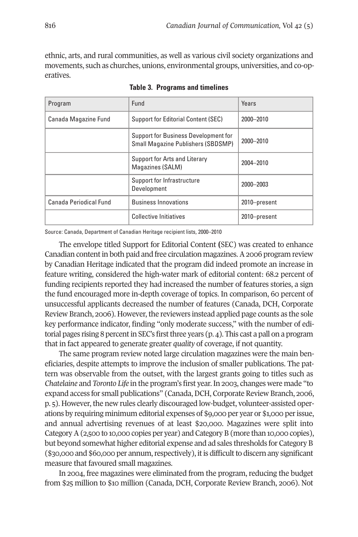ethnic, arts, and rural communities, as well as various civil society organizations and movements, such as churches, unions, environmental groups, universities, and co-operatives.

| Program                | Fund                                                                              | Years        |
|------------------------|-----------------------------------------------------------------------------------|--------------|
| Canada Magazine Fund   | <b>Support for Editorial Content (SEC)</b>                                        | 2000-2010    |
|                        | Support for Business Development for<br><b>Small Magazine Publishers (SBDSMP)</b> | 2000-2010    |
|                        | Support for Arts and Literary<br>Magazines (SALM)                                 | 2004-2010    |
|                        | Support for Infrastructure<br>Development                                         | 2000-2003    |
| Canada Periodical Fund | <b>Business Innovations</b>                                                       | 2010-present |
|                        | <b>Collective Initiatives</b>                                                     | 2010-present |

**Table 3. Programs and timelines**

Source: Canada, Department of Canadian Heritage recipient lists, 2000–2010

The envelope titled Support for Editorial Content **(**SEC) was created to enhance Canadian contentin both paid and free circulation magazines.A2006 program review by Canadian Heritage indicated that the program did indeed promote an increase in feature writing, considered the high-water mark of editorial content: 68.2 percent of funding recipients reported they had increased the number of features stories, a sign the fund encouraged more in-depth coverage of topics. In comparison, 60 percent of unsuccessful applicants decreased the number of features (Canada, DCH, Corporate Review Branch, 2006). However, the reviewers instead applied page counts as the sole key performance indicator, finding "only moderate success," with the number of editorial pages rising 8 percent in SEC's first three years (p. 4). This cast a pall on a program that in fact appeared to generate greater *quality* of coverage, if not quantity.

The same program review noted large circulation magazines were the main beneficiaries, despite attempts to improve the inclusion of smaller publications. The pattern was observable from the outset, with the largest grants going to titles such as *Chatelaine* and *Toronto Life* in the program's first year.In 2003, changes were made "to expand access for small publications" (Canada,DCH, Corporate Review Branch, 2006, p. 5). However, the new rules clearly discouraged low-budget, volunteer-assisted operations by requiring minimum editorial expenses of \$9,000 per year or \$1,000 perissue, and annual advertising revenues of at least \$20,000. Magazines were split into CategoryA(2,500 to 10,000 copies per year) and Category B (more than 10,000 copies), but beyond somewhat higher editorial expense and ad sales thresholds for Category B  $(\$30,000$  and  $$60,000$  per annum, respectively), it is difficult to discern any significant measure that favoured small magazines.

In 2004, free magazines were eliminated from the program, reducing the budget from \$25 million to \$10 million (Canada, DCH, Corporate Review Branch, 2006). Not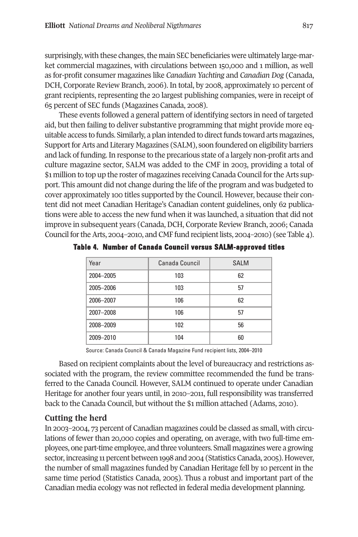surprisingly, with these changes, the main SEC beneficiaries were ultimately large-market commercial magazines, with circulations between 150,000 and 1 million, as well as for-profit consumer magazines like *Canadian Yachting* and *Canadian Dog* (Canada, DCH, Corporate Review Branch, 2006). In total, by 2008, approximately 10 percent of grant recipients, representing the 20 largest publishing companies, were in receipt of 65 percent of SEC funds (Magazines Canada, 2008).

These events followed a general pattern of identifying sectors in need of targeted aid, but then failing to deliver substantive programming that might provide more equitable access to funds. Similarly, a plan intended to direct funds toward arts magazines, Support for Arts and Literary Magazines (SALM), soon foundered on eligibility barriers and lack of funding. In response to the precarious state of a largely non-profit arts and culture magazine sector, SALM was added to the CMF in 2003, providing a total of \$1 million to top up the roster of magazines receiving Canada Council fortheArts support. This amount did not change during the life of the program and was budgeted to cover approximately 100 titles supported by the Council. However, because their content did not meet Canadian Heritage's Canadian content guidelines, only 62 publications were able to access the new fund when it was launched, a situation that did not improve in subsequent years (Canada, DCH, Corporate Review Branch, 2006; Canada Council for the Arts, 2004–2010, and CMF fund recipient lists, 2004–2010) (see Table 4).

| Year      | Canada Council | <b>SALM</b> |
|-----------|----------------|-------------|
| 2004-2005 | 103            | 62          |
| 2005-2006 | 103            | 57          |
| 2006-2007 | 106            | 62          |
| 2007-2008 | 106            | 57          |
| 2008-2009 | 102            | 56          |
| 2009-2010 | 104            | 60          |

**Table 4. Number of Canada Council versus SALM-approved titles**

Source: Canada Council & Canada Magazine Fund recipient lists, 2004–2010

Based on recipient complaints about the level of bureaucracy and restrictions associated with the program, the review committee recommended the fund be transferred to the Canada Council. However, SALM continued to operate under Canadian Heritage for another four years until, in 2010–2011, full responsibility was transferred back to the Canada Council, but without the \$1 million attached (Adams, 2010).

# **Cutting the herd**

In 2003–2004, 73 percent of Canadian magazines could be classed as small, with circulations of fewer than 20,000 copies and operating, on average, with two full-time employees, one part-time employee, and three volunteers. Small magazineswere a growing sector, increasing 11 percent between 1998 and 2004 (Statistics Canada, 2005). However, the number of small magazines funded by Canadian Heritage fell by 10 percent in the same time period (Statistics Canada, 2005). Thus a robust and important part of the Canadian media ecology was not reflected in federal media development planning.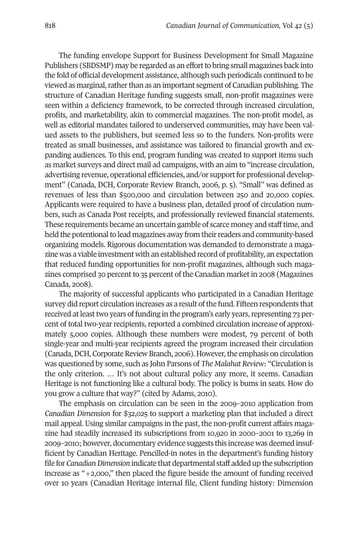The funding envelope Support for Business Development for Small Magazine Publishers (SBDSMP) may be regarded as an effort to bring small magazines back into the fold of official development assistance, although such periodicals continued to be viewed as marginal, rather than as an important segment of Canadian publishing. The structure of Canadian Heritage funding suggests small, non-profit magazines were seen within a deficiency framework, to be corrected through increased circulation, profits, and marketability, akin to commercial magazines. The non-profit model, as well as editorial mandates tailored to underserved communities, may have been valued assets to the publishers, but seemed less so to the funders. Non-profits were treated as small businesses, and assistance was tailored to financial growth and expanding audiences. To this end, program funding was created to support items such as market surveys and direct mail ad campaigns, with an aim to "increase circulation, advertising revenue, operational efficiencies, and/or support for professional development" (Canada, DCH, Corporate Review Branch, 2006, p. 5). "Small" was defined as revenues of less than \$500,000 and circulation between 250 and 20,000 copies. Applicants were required to have a business plan, detailed proof of circulation numbers, such as Canada Post receipts, and professionally reviewed financial statements. These requirements became an uncertain gamble of scarce money and stafftime, and held the potentional to lead magazines away from their readers and community-based organizing models. Rigorous documentation was demanded to demonstrate a magazine was a viable investment with an established record of profitability, an expectation that reduced funding opportunities for non-profit magazines, although such magazines comprised 30 percent to 35 percent of the Canadian market in 2008 (Magazines Canada, 2008).

The majority of successful applicants who participated in a Canadian Heritage survey did report circulation increases as a result of the fund. Fifteen respondents that received at least two years of funding in the program's early years, representing 73 percent of total two-year recipients, reported a combined circulation increase of approximately 5,000 copies. Although these numbers were modest, 79 percent of both single-year and multi-year recipients agreed the program increased their circulation (Canada, DCH, Corporate Review Branch, 2006). However, the emphasis on circulation was questioned by some, such as John Parsons of *The Malahat Review*: "Circulation is the only criterion. … It's not about cultural policy any more, it seems. Canadian Heritage is not functioning like a cultural body. The policy is bums in seats. How do you grow a culture that way?" (cited by Adams, 2010).

The emphasis on circulation can be seen in the 2009–2010 application from *Canadian Dimension* for \$32,025 to support a marketing plan that included a direct mail appeal. Using similar campaigns in the past, the non-profit current affairs magazine had steadily increased its subscriptions from 10,920 in 2000–2001 to 13,269 in 2009–2010; however, documentary evidence suggests this increase was deemed insufficient by Canadian Heritage. Pencilled-in notes in the department's funding history file for *CanadianDimension* indicate that departmental staff added up the subscription increase as "+2,000," then placed the figure beside the amount of funding received over 10 years (Canadian Heritage internal file, Client funding history: Dimension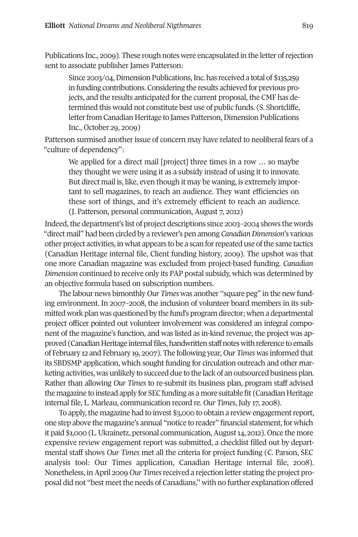Publications Inc., 2009). These rough notes were encapsulated in the letter of rejection sent to associate publisher James Patterson:

Since 2003/04, Dimension Publications, Inc. has received a total of \$135,259 in funding contributions. Considering the results achieved for previous projects, and the results anticipated for the current proposal, the CMF has determined this would not constitute best use of public funds. (S. Shortcliffe, letter from Canadian Heritage to James Patterson, Dimension Publications Inc., October 29, 2009)

Patterson surmised another issue of concern may have related to neoliberal fears of a "culture of dependency":

We applied for a direct mail [project] three times in a row ... so maybe they thought we were using it as a subsidy instead of using it to innovate. But direct mail is, like, even though it may be waning, is extremely important to sell magazines, to reach an audience. They want efficiencies on these sort of things, and it's extremely efficient to reach an audience. (J. Patterson, personal communication, August 7, 2012)

Indeed, the department's list of project descriptions since 2003–2004 shows the words "direct mail" had been circled by a reviewer's pen among *Canadian Dimension*'s various other project activities, in what appears to be a scan forrepeated use ofthe same tactics (Canadian Heritage internal file, Client funding history, 2009). The upshot was that one more Canadian magazine was excluded from project-based funding. *Canadian Dimension* continued to receive only its PAP postal subsidy, which was determined by an objective formula based on subscription numbers.

The labour news bimonthly *Our Times* was another "square peg" in the new funding environment. In 2007–2008, the inclusion of volunteer board members in its submitted work plan was questioned by the fund's program director; when a departmental project officer pointed out volunteer involvement was considered an integral component of the magazine's function, and was listed as in-kind revenue, the project was approved (Canadian Heritage internal files, handwritten staff notes with reference to emails of February 12 and February 19, 2007). The following year, *Our Times* was informed that its SBDSMP application, which sought funding for circulation outreach and other marketing activities, was unlikely to succeed due to the lack of an outsourced business plan. Rather than allowing *Our Times* to re-submit its business plan, program staff advised the magazine to instead apply for SEC funding as a more suitable fit (Canadian Heritage) internal file, L. Marleau, communication record re. *Our Times*, July 17, 2008).

To apply, the magazine had to invest \$3,000 to obtain a review engagement report, one step above the magazine's annual "notice to reader" financial statement, for which it paid \$1,000 (L. Ukrainetz, personal communication, August 14, 2012). Once the more expensive review engagement report was submitted, a checklist filled out by departmental staff shows *Our Times* met all the criteria for project funding (C. Parson, SEC analysis tool: Our Times application, Canadian Heritage internal file, 2008). Nonetheless, inApril 2009 *Our Times*received a rejection letter stating the project proposal did not "best meetthe needs of Canadians," with no further explanation offered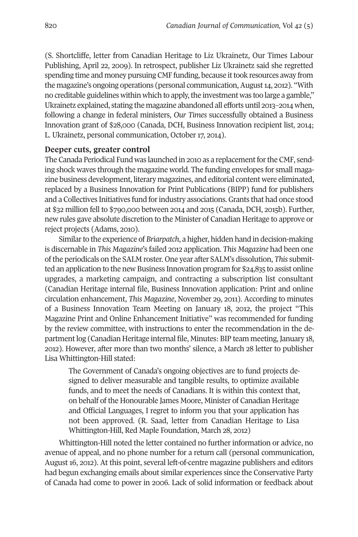(S. Shortcliffe, letter from Canadian Heritage to Liz Ukrainetz, Our Times Labour Publishing, April 22, 2009). In retrospect, publisher Liz Ukrainetz said she regretted spending time and money pursuing CMF funding, because it took resources away from the magazine's ongoing operations (personal communication,August14, 2012). "With no creditable guidelines within which to apply, the investment was too large a gamble," Ukrainetz explained, stating the magazine abandoned all efforts until 2013–2014 when, following a change in federal ministers, *Our Times* successfully obtained a Business Innovation grant of \$28,000 (Canada, DCH, Business Innovation recipient list, 2014; L. Ukrainetz, personal communication, October 17, 2014).

#### **Deeper cuts, greater control**

The Canada Periodical Fund was launched in 2010 as a replacement for the CMF, sending shock waves through the magazine world. The funding envelopes for small magazine business development, literary magazines, and editorial content were eliminated, replaced by a Business Innovation for Print Publications (BIPP) fund for publishers and a Collectives Initiatives fund forindustry associations. Grants that had once stood at \$32 million fell to \$790,000 between 2014 and 2015 (Canada, DCH, 2015b). Further, new rules gave absolute discretion to the Minister of Canadian Heritage to approve or reject projects (Adams, 2010).

Similarto the experience of *Briarpatch*, a higher, hidden hand in decision-making is discernable in *This Magazine*'s failed 2012 application. *This Magazine* had been one ofthe periodicals on the SALM roster. One year after SALM's dissolution, *This* submitted an application to the new Business Innovation program for \$24,835 to assist online upgrades, a marketing campaign, and contracting a subscription list consultant (Canadian Heritage internal file, Business Innovation application: Print and online circulation enhancement, *This Magazine*, November 29, 2011). According to minutes of a Business Innovation Team Meeting on January 18, 2012, the project "This Magazine Print and Online Enhancement Initiative" was recommended for funding by the review committee, with instructions to enter the recommendation in the department log (Canadian Heritage internal file, Minutes: BIP team meeting, January 18, 2012). However, after more than two months' silence, a March 28 letter to publisher Lisa Whittington-Hill stated:

The Government of Canada's ongoing objectives are to fund projects designed to deliver measurable and tangible results, to optimize available funds, and to meet the needs of Canadians. It is within this context that, on behalf of the Honourable James Moore, Minister of Canadian Heritage and Official Languages, I regret to inform you that your application has not been approved. (R. Saad, letter from Canadian Heritage to Lisa Whittington-Hill, Red Maple Foundation, March 28, 2012)

Whittington-Hill noted the letter contained no further information or advice, no avenue of appeal, and no phone number for a return call (personal communication, August 16, 2012). At this point, several left-of-centre magazine publishers and editors had begun exchanging emails about similar experiences since the Conservative Party of Canada had come to power in 2006. Lack of solid information or feedback about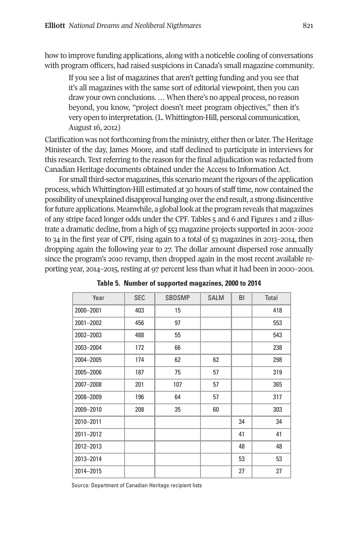how to improve funding applications, along with a noticeble cooling of conversations with program officers, had raised suspicions in Canada's small magazine community.

If you see a list of magazines that aren't getting funding and you see that it's all magazines with the same sort of editorial viewpoint, then you can draw your own conclusions.…When there's no appeal process, no reason beyond, you know, "project doesn't meet program objectives," then it's very open to interpretation. (L. Whittington-Hill, personal communication, August 16, 2012)

Clarification was not forthcoming from the ministry, either then or later. The Heritage Minister of the day, James Moore, and staff declined to participate in interviews for this research. Text referring to the reason for the final adjudication was redacted from Canadian Heritage documents obtained under the Access to Information Act.

For small third-sector magazines, this scenario meant the rigours of the application process, which Whittington-Hill estimated at 30 hours of stafftime, now contained the possibility of unexplained disapproval hanging over the end result, a strong disincentive forfuture applications. Meanwhile, a global look atthe program reveals that magazines of any stripe faced longer odds under the CPF. Tables 5 and 6 and Figures 1 and 2 illustrate a dramatic decline, from a high of 553 magazine projects supported in 2001–2002 to 34 in the first year of CPF, rising again to a total of 53 magazines in 2013–2014, then dropping again the following year to 27. The dollar amount dispersed rose annually since the program's 2010 revamp, then dropped again in the most recent available reporting year, 2014–2015, resting at 97 percent less than what it had been in 2000–2001.

| Year      | <b>SEC</b> | <b>SBDSMP</b> | <b>SALM</b> | BI | Total |
|-----------|------------|---------------|-------------|----|-------|
| 2000-2001 | 403        | 15            |             |    | 418   |
| 2001-2002 | 456        | 97            |             |    | 553   |
| 2002-2003 | 488        | 55            |             |    | 543   |
| 2003-2004 | 172        | 66            |             |    | 238   |
| 2004-2005 | 174        | 62            | 62          |    | 298   |
| 2005-2006 | 187        | 75            | 57          |    | 319   |
| 2007-2008 | 201        | 107           | 57          |    | 365   |
| 2008-2009 | 196        | 64            | 57          |    | 317   |
| 2009-2010 | 208        | 35            | 60          |    | 303   |
| 2010-2011 |            |               |             | 34 | 34    |
| 2011-2012 |            |               |             | 41 | 41    |
| 2012-2013 |            |               |             | 48 | 48    |
| 2013-2014 |            |               |             | 53 | 53    |
| 2014-2015 |            |               |             | 27 | 27    |

**Table 5. Number of supported magazines, 2000 to 2014**

Source: Department of Canadian Heritage recipient lists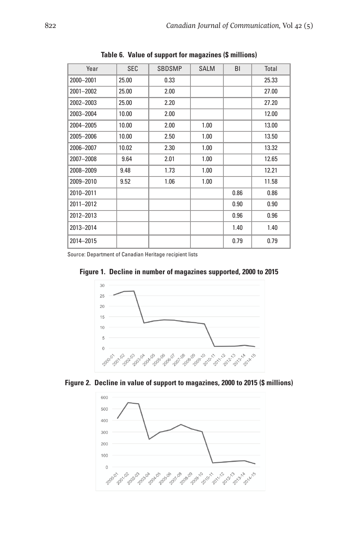| Year      | <b>SEC</b> | <b>SBDSMP</b> | <b>SALM</b> | <b>BI</b> | Total |
|-----------|------------|---------------|-------------|-----------|-------|
| 2000-2001 | 25.00      | 0.33          |             |           | 25.33 |
| 2001-2002 | 25.00      | 2.00          |             |           | 27.00 |
| 2002-2003 | 25.00      | 2.20          |             |           | 27.20 |
| 2003-2004 | 10.00      | 2.00          |             |           | 12.00 |
| 2004-2005 | 10.00      | 2.00          | 1.00        |           | 13.00 |
| 2005-2006 | 10.00      | 2.50          | 1.00        |           | 13.50 |
| 2006-2007 | 10.02      | 2.30          | 1.00        |           | 13.32 |
| 2007-2008 | 9.64       | 2.01          | 1.00        |           | 12.65 |
| 2008-2009 | 9.48       | 1.73          | 1.00        |           | 12.21 |
| 2009-2010 | 9.52       | 1.06          | 1.00        |           | 11.58 |
| 2010-2011 |            |               |             | 0.86      | 0.86  |
| 2011-2012 |            |               |             | 0.90      | 0.90  |
| 2012-2013 |            |               |             | 0.96      | 0.96  |
| 2013-2014 |            |               |             | 1.40      | 1.40  |
| 2014-2015 |            |               |             | 0.79      | 0.79  |

**Table 6. Value of support for magazines (\$ millions)**

Source: Department of Canadian Heritage recipient lists



**Figure 1. Decline in number of magazines supported, 2000 to 2015**



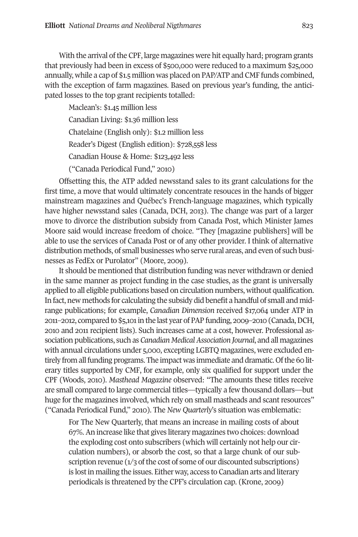With the arrival of the CPF, large magazines were hit equally hard; program grants that previously had been in excess of \$500,000 were reduced to a maximum \$25,000 annually, while a cap of \$1.5 million was placed on PAP/ATP and CMF funds combined, with the exception of farm magazines. Based on previous year's funding, the anticipated losses to the top grant recipients totalled:

Maclean's: \$1.45 million less

Canadian Living: \$1.36 million less

Chatelaine (English only): \$1.2 million less

Reader's Digest (English edition): \$728,558 less

Canadian House & Home: \$123,492 less

("Canada Periodical Fund," 2010)

Offsetting this, the ATP added newsstand sales to its grant calculations for the first time, a move that would ultimately concentrate resouces in the hands of bigger mainstream magazines and Québec's French-language magazines, which typically have higher newsstand sales (Canada, DCH, 2013). The change was part of a larger move to divorce the distribution subsidy from Canada Post, which Minister James Moore said would increase freedom of choice. "They [magazine publishers] will be able to use the services of Canada Post or of any other provider. I think of alternative distribution methods, of small businesses who serve rural areas, and even of such businesses as FedEx or Purolator" (Moore, 2009).

It should be mentioned that distribution funding was never withdrawn or denied in the same manner as project funding in the case studies, as the grant is universally applied to all eligible publications based on circulation numbers, without qualification. In fact, new methods for calculating the subsidy did benefit a handful of small and midrange publications; for example, *Canadian Dimension* received \$17,064 under ATP in 2011–2012, compared to \$5,101in the last year of PAP funding, 2009–2010 (Canada,DCH, 2010 and 2011 recipient lists). Such increases came at a cost, however. Professional association publications, such as *Canadian MedicalAssociation Journal*, and all magazines with annual circulations under 5,000, excepting LGBTQ magazines, were excluded entirely from all funding programs. The impact was immediate and dramatic. Of the 60 literary titles supported by CMF, for example, only six qualified for support under the CPF (Woods, 2010). *Masthead Magazine* observed: "The amounts these titles receive are small compared to large commercial titles—typically a few thousand dollars—but huge for the magazines involved, which rely on small mastheads and scant resources" ("Canada Periodical Fund," 2010). The *New Quarterly*'s situation was emblematic:

For The New Quarterly, that means an increase in mailing costs of about 67%.An increase like that gives literary magazines two choices: download the exploding cost onto subscribers (which will certainly not help our circulation numbers), or absorb the cost, so that a large chunk of our subscription revenue  $(1/3)$  of the cost of some of our discounted subscriptions) is lostin mailing the issues. Either way, access to Canadian arts and literary periodicals is threatened by the CPF's circulation cap. (Krone, 2009)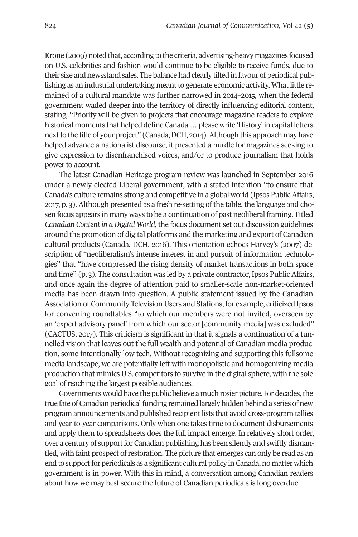Krone (2009) noted that, according to the criteria, advertising-heavy magazines focused on U.S. celebrities and fashion would continue to be eligible to receive funds, due to their size and newsstand sales. The balance had clearly tilted in favour of periodical publishing as an industrial undertaking meant to generate economic activity. What little remained of a cultural mandate was further narrowed in 2014–2015, when the federal government waded deeper into the territory of directly influencing editorial content, stating, "Priority will be given to projects that encourage magazine readers to explore historical moments that helped define Canada ... please write 'History' in capital letters next to the title of your project" (Canada, DCH, 2014). Although this approach may have helped advance a nationalist discourse, it presented a hurdle for magazines seeking to give expression to disenfranchised voices, and/or to produce journalism that holds power to account.

The latest Canadian Heritage program review was launched in September 2016 under a newly elected Liberal government, with a stated intention "to ensure that Canada's culture remains strong and competitive in a global world (Ipsos PublicAffairs, 2017, p. 3). Although presented as a fresh re-setting of the table, the language and chosen focus appears in many ways to be a continuation of past neoliberal framing. Titled *Canadian Content in a Digital World*, the focus document set out discussion guidelines around the promotion of digital platforms and the marketing and export of Canadian cultural products (Canada, DCH, 2016). This orientation echoes Harvey's (2007) description of "neoliberalism's intense interest in and pursuit of information technologies" that "have compressed the rising density of market transactions in both space and time" (p. 3). The consultation was led by a private contractor, Ipsos Public Affairs, and once again the degree of attention paid to smaller-scale non-market-oriented media has been drawn into question. A public statement issued by the Canadian Association of Community Television Users and Stations, for example, criticized Ipsos for convening roundtables "to which our members were not invited, overseen by an 'expert advisory panel' from which our sector [community media] was excluded" (CACTUS, 2017). This criticism is significant in that it signals a continuation of a tunnelled vision that leaves out the full wealth and potential of Canadian media production, some intentionally low tech. Without recognizing and supporting this fullsome media landscape, we are potentially left with monopolistic and homogenizing media production that mimicsU.S. competitors to survive in the digital sphere, with the sole goal of reaching the largest possible audiences.

Governments would have the public believe a much rosier picture. For decades, the true fate of Canadian periodical funding remained largely hidden behind a series of new program announcements and published recipient lists that avoid cross-program tallies and year-to-year comparisons. Only when one takes time to document disbursements and apply them to spreadsheets does the full impact emerge. In relatively short order, over a century of support for Canadian publishing has been silently and swiftly dismantled, with faint prospect ofrestoration. The picture that emerges can only be read as an end to support for periodicals as a significant cultural policy in Canada, no matter which government is in power. With this in mind, a conversation among Canadian readers about how we may best secure the future of Canadian periodicals is long overdue.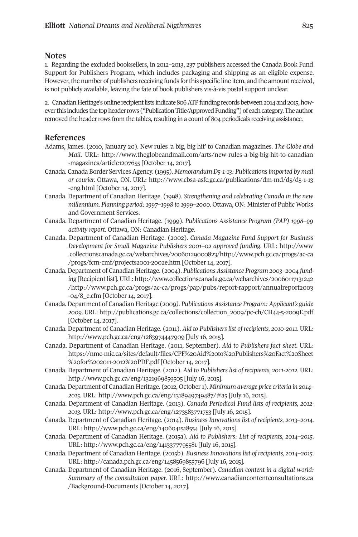#### **Notes**

1. Regarding the excluded booksellers, in 2012–2013, 237 publishers accessed the Canada Book Fund Support for Publishers Program, which includes packaging and shipping as an eligible expense. However, the number of publishers receiving funds for this specific line item, and the amount received, is not publicly available, leaving the fate of book publishers vis-à-vis postal support unclear.

2. Canadian Heritage's online recipient lists indicate 806 ATP funding records between 2014 and 2015, however this includes the top header rows ("Publication Title/Approved Funding") of each category. The author removed the header rows from the tables, resulting in a count of 804 periodicals receiving assistance.

# **References**

- Adams, James. (2010, January 20). New rules 'a big, big hit' to Canadian magazines. *The Globe and Mail*. URL: [http://www.theglobeandmail.com/arts/new-rules-a-big-big-hit-to-canadian](http://www.theglobeandmail.com/arts/new-rules-a-big-big-hit-to-canadian-magazines/article1207655) [-magazines/article1207655](http://www.theglobeandmail.com/arts/new-rules-a-big-big-hit-to-canadian-magazines/article1207655) [October 14, 2017].
- Canada. Canada Border Services Agency. (1995). *Memorandum D5-1-13: Publicationsimported by mail or courier.* Ottawa, ON. URL: [http://www.cbsa-asfc.gc.ca/publications/dm-md/d5/d5-1-13](http://www.cbsa-asfc.gc.ca/publications/dm-md/d5/d5-1-13-eng.html) [-eng.html](http://www.cbsa-asfc.gc.ca/publications/dm-md/d5/d5-1-13-eng.html) [October 14, 2017].
- Canada. Department of Canadian Heritage. (1998). *Strengthening and celebrating Canada in the new millennium. Planning period:1997–1998 to 1999–2000.* Ottawa, ON: Minister of Public Works and Government Services.
- Canada. Department of Canadian Heritage. (1999). *Publications Assistance Program (PAP) 1998–99 activity report.* Ottawa, ON: Canadian Heritage.
- Canada. Department of Canadian Heritage. (2002). *Canada Magazine Fund Support for Business Development for Small Magazine Publishers 2001–02 approved funding.* URL: [http://www](http://www.collectionscanada.gc.ca/webarchives/20060129000823/http://www.pch.gc.ca/progs/ac-ca/progs/fcm-cmf/projects2001-2002e.htm) [.collectionscanada.gc.ca/webarchives/20060129000823/http://www.pch.gc.ca/progs/ac-ca](http://www.collectionscanada.gc.ca/webarchives/20060129000823/http://www.pch.gc.ca/progs/ac-ca/progs/fcm-cmf/projects2001-2002e.htm) [/progs/fcm-cmf/projects2001-2002e.htm](http://www.collectionscanada.gc.ca/webarchives/20060129000823/http://www.pch.gc.ca/progs/ac-ca/progs/fcm-cmf/projects2001-2002e.htm) [October 14, 2017].
- Canada. Department of Canadian Heritage. (2004). *Publications Assistance Program 2003–2004 funding* [Recipient list]. URL: [http://www.collectionscanada.gc.ca/webarchives/20060117131242](http://www.collectionscanada.gc.ca/webarchives/20060117131242/http://www.pch.gc.ca/progs/ac-ca/progs/pap/pubs/report-rapport/annualreport2003-04/8_e.cfm) [/http://www.pch.gc.ca/progs/ac-ca/progs/pap/pubs/report-rapport/annualreport2003](http://www.collectionscanada.gc.ca/webarchives/20060117131242/http://www.pch.gc.ca/progs/ac-ca/progs/pap/pubs/report-rapport/annualreport2003-04/8_e.cfm) [-04/8\\_e.cfm](http://www.collectionscanada.gc.ca/webarchives/20060117131242/http://www.pch.gc.ca/progs/ac-ca/progs/pap/pubs/report-rapport/annualreport2003-04/8_e.cfm) [October 14, 2017].
- Canada. Department of Canadian Heritage (2009*). Publications Assistance Program: Applicant's guide 2009*. URL: [http://publications.gc.ca/collections/collection\\_2009/pc-ch/CH44-5-2009E.pdf](http://publications.gc.ca/collections/collection_2009/pc-ch/CH44-5-2009E.pdf ) [October 14, 2017].
- Canada. Department of Canadian Heritage. (2011). *Aid to Publishers list of recipients, 2010-2011.* URL: [http://www.pch.gc.ca/eng/1283974447909](http://publications.gc.ca/collections/collection_2009/pc-ch/CH44-5-2009E.pdf ) [July 16, 2015].
- Canada. Department of Canadian Heritage. (2011, September). *Aid to Publishers fact sheet*. URL: [https://nmc-mic.ca/sites/default/files/CPF%20Aid%20to%20Publishers%20Fact%20Sheet](https://nmc-mic.ca/sites/default/files/CPF%20Aid%20to%20Publishers%20Fact%20Sheet%20for%202011-2012%20PDF.pdf) [%20for%202011-2012%20PDF.pdf](https://nmc-mic.ca/sites/default/files/CPF%20Aid%20to%20Publishers%20Fact%20Sheet%20for%202011-2012%20PDF.pdf) [October 14, 2017].
- Canada. Department of Canadian Heritage. (2012). *Aid to Publishers list of recipients, 2011-2012.* URL: <http://www.pch.gc.ca/eng/1321969859505> [July 16, 2015].
- Canada. Department of Canadian Heritage. (2012, October1). *Minimum average price criteria in 2014– 2015*. URL: <http://www.pch.gc.ca/eng/1318949749487/#a5> [July 16, 2015].
- Canada. Department of Canadian Heritage. (2013). *Canada Periodical Fund lists of recipients, 2012- 2013.* URL: [http://www.pch.gc.ca/eng/1273583771753](http://www.pch.gc.ca/eng/1273583771753%20%5bJuly) [July 16, 2015].
- Canada. Department of Canadian Heritage. (2014). *Business Innovations list of recipients, 2013–2014.* URL: <http://www.pch.gc.ca/eng/1406041518554> [July 16, 2015].
- Canada. Department of Canadian Heritage. (2015a). *Aid to Publishers: List of recipients, 2014–2015.* URL: <http://www.pch.gc.ca/eng/1413377795581> [July 16, 2015].
- Canada. Department of Canadian Heritage. (2015b). *BusinessInnovationslist of recipients, 2014–2015.* URL: <http://canada.pch.gc.ca/eng/1458569855796> [July 16, 2015].
- Canada. Department of Canadian Heritage. (2016, September). *Canadian content in a digital world: Summary of the consultation paper.* URL: [http://www.canadiancontentconsultations.ca](http://www.canadiancontentconsultations.ca/Background-Documents) [/Background-Documents](http://www.canadiancontentconsultations.ca/Background-Documents) [October 14, 2017].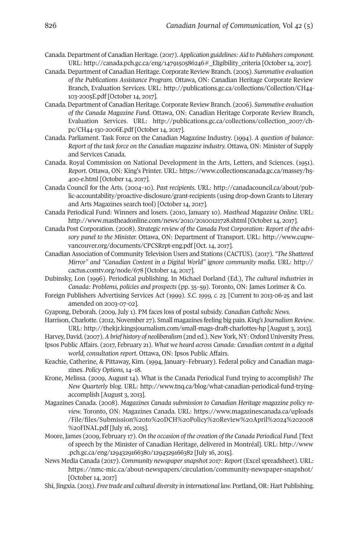- Canada. Department of Canadian Heritage. (2017). *Application guidelines: Aid to Publishers component.* URL: [http://canada.pch.gc.ca/eng/1479150586246#\\_Eligibility\\_criteria](http://canada.pch.gc.ca/eng/1479150586246#_Eligibility_criteria) [October 14, 2017].
- Canada. Department of Canadian Heritage. Corporate Review Branch. (2005). *Summative evaluation of the Publications Assistance Program.* Ottawa, ON: Canadian Heritage Corporate Review Branch, Evaluation Services. URL: [http://publications.gc.ca/collections/Collection/CH44-](http://publications.gc.ca/collections/Collection/CH44-103-2005E.pdf) [103-2005E.pdf](http://publications.gc.ca/collections/Collection/CH44-103-2005E.pdf) [October 14, 2017].
- Canada. Department of Canadian Heritage. Corporate Review Branch. (2006). *Summative evaluation of the Canada Magazine Fund.* Ottawa, ON: Canadian Heritage Corporate Review Branch, Evaluation Services. URL: [http://publications.gc.ca/collections/collection\\_2007/ch](http://publications.gc.ca/collections/collection_2007/ch-pc/CH44-130-2006E.pdf)[pc/CH44-130-2006E.pdf](http://publications.gc.ca/collections/collection_2007/ch-pc/CH44-130-2006E.pdf) [October 14, 2017].
- Canada. Parliament. Task Force on the Canadian Magazine Industry. (1994). *A question of balance: Report of the task force on the Canadian magazine industry.* Ottawa, ON: Minister of Supply and Services Canada.
- Canada. Royal Commission on National Development in the Arts, Letters, and Sciences. (1951). *Report*. Ottawa, ON: King's Printer. URL: [https://www.collectionscanada.gc.ca/massey/h5-](https://www.collectionscanada.gc.ca/massey/h5-400-e.html) [400-e.html](https://www.collectionscanada.gc.ca/massey/h5-400-e.html) [October 14, 2017].
- Canada Council for the Arts. (2004–10). *Past recipients*. URL: [http://canadacouncil.ca/about/pub](http://canadacouncil.ca/about/public-accountability/proactive-disclosure/grant-recipients)[lic-accountability/proactive-disclosure/grant-recipients](http://canadacouncil.ca/about/public-accountability/proactive-disclosure/grant-recipients) (using drop-down Grants to Literary and Arts Magazines search tool) [October 14, 2017].
- Canada Periodical Fund: Winners and losers. (2010, January 10). *Masthead Magazine Online*. URL: <http://www.mastheadonline.com/news/2010/20100121728.shtml> [October 14, 2017].
- Canada Post Corporation. (2008). *Strategic review of the Canada Post Corporation: Report of the advisory panel to the Minister.* Ottawa, ON: Department of Transport. URL: [http://www.cupw](http://www.cupw-vancouver.org/documents/CPCSRrpt-eng.pdf)[vancouver.org/documents/CPCSRrpt-eng.pdf](http://www.cupw-vancouver.org/documents/CPCSRrpt-eng.pdf) [Oct. 14, 2017].
- Canadian Association of Community Television Users and Stations (CACTUS). (2017). *"The Shattered Mirror" and "Canadian Content in a Digital World" ignore community media.* URL: [http://](http://cactus.comtv.org/node/678) [cactus.comtv.org/node/678](http://cactus.comtv.org/node/678) [October 14, 2017].
- Dubinsky, Lon (1996). Periodical publishing. In Michael Dorland (Ed.), *The cultural industries in Canada: Problems, policies and prospects* (pp. 35–59). Toronto, ON: James Lorimer & Co.
- Foreign Publishers Advertising Services Act (1999). *S.C. 1999, c. 23.* [Current to 2013-06-25 and last amended on 2003-07-02].
- Gyapong, Deborah. (2009, July 1). PM faces loss of postal subsidy. *Canadian Catholic News*.
- Harrison, Charlotte. (2012, November 27). Small magazines feeling big pain. *King'sJournalism Review*. URL: <http://thekjr.kingsjournalism.com/small-mags-draft-charlottes-hp> [August 3, 2013].
- Harvey,David. (2007).*Abrief history of neoliberalism* (2nd ed.). New York, NY: OxfordUniversity Press.
- Ipsos Public Affairs. (2017, February 21). *What we heard across Canada: Canadian content in a digital world, consultation report*. Ottawa, ON: Ipsos Public Affairs.
- Keachie, Catherine, & Pittaway, Kim. (1994, January–February). Federal policy and Canadian magazines. *Policy Options,* 14–18.
- Krone, Melissa. (2009, August 14). What is the Canada Periodical Fund trying to accomplish? *The New Quarterly blog*. URL: [http://www.tnq.ca/blog/what-canadian-periodical-fund-trying](http://www.tnq.ca/blog/what-canadian-periodical-fund-trying-accomplish)[accomplish](http://www.tnq.ca/blog/what-canadian-periodical-fund-trying-accomplish) [August 3, 2013].
- Magazines Canada. (2008). *Magazines Canada submission to Canadian Heritage magazine policy review.* Toronto, ON: Magazines Canada. URL: [https://www.magazinescanada.ca/uploads](https://www.magazinescanada.ca/uploads/File/files/Submission%20to%20DCH%20Policy%20Review%20April%2024%202008%20FINAL.pdf) [/File/files/Submission%20to%20DCH%20Policy%20Review%20April%2024%202008](https://www.magazinescanada.ca/uploads/File/files/Submission%20to%20DCH%20Policy%20Review%20April%2024%202008%20FINAL.pdf) [%20FINAL.pdf](https://www.magazinescanada.ca/uploads/File/files/Submission%20to%20DCH%20Policy%20Review%20April%2024%202008%20FINAL.pdf) [July 16, 2015].
- Moore, James (2009, February 17). *On the occasion of the creation of the Canada Periodical Fund.* [Text of speech by the Minister of Canadian Heritage, delivered in Montréal]. URL: [http://www](http://www.pch.gc.ca/eng/1294329166380/1294329166382) [.pch.gc.ca/eng/1294329166380/1294329166382](http://www.pch.gc.ca/eng/1294329166380/1294329166382) [July 16, 2015].
- News Media Canada (2017). *Community newspapersnapshot 2017: Report* (Excel spreadsheet). URL: <https://nmc-mic.ca/about-newspapers/circulation/community-newspaper-snapshot/> [October 14, 2017]
- Shi, Jingxia. (2013). *Free trade and cultural diversity in international law.* Portland, OR: Hart Publishing.